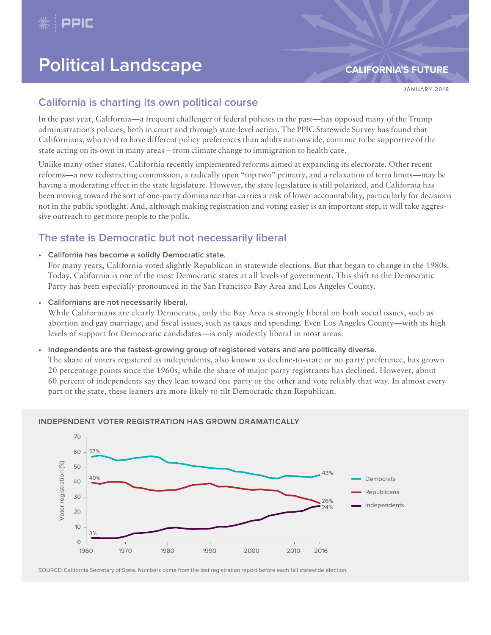

# **Political Landscape [CALIFORNIA'S FUTURE](http://www.ppic.org/publication/californias-future/)**

JANUARY 2018

# **California is charting its own political course**

In the past year, California—a frequent challenger of federal policies in the past—has opposed many of the Trump administration's policies, both in court and through state-level action. The PPIC Statewide Survey has found that Californians, who tend to have different policy preferences than adults nationwide, continue to be supportive of the state acting on its own in many areas—from climate change to immigration to health care.

Unlike many other states, California recently implemented reforms aimed at expanding its electorate. Other recent reforms—a new redistricting commission, a radically open "top two" primary, and a relaxation of term limits—may be having a moderating effect in the state legislature. However, the state legislature is still polarized, and California has been moving toward the sort of one-party dominance that carries a risk of lower accountability, particularly for decisions not in the public spotlight. And, although making registration and voting easier is an important step, it will take aggressive outreach to get more people to the polls.

# **The state is Democratic but not necessarily liberal**

**• California has become a solidly Democratic state.**

For many years, California voted slightly Republican in statewide elections. But that began to change in the 1980s. Today, California is one of the most Democratic states at all levels of government. This shift to the Democratic Party has been especially pronounced in the San Francisco Bay Area and Los Angeles County.

**• Californians are not necessarily liberal.**

While Californians are clearly Democratic, only the Bay Area is strongly liberal on both social issues, such as abortion and gay marriage, and fiscal issues, such as taxes and spending. Even Los Angeles County—with its high levels of support for Democratic candidates—is only modestly liberal in most areas.

**• Independents are the fastest-growing group of registered voters and are politically diverse.**

The share of voters registered as independents, also known as decline-to-state or no party preference, has grown 20 percentage points since the 1960s, while the share of major-party registrants has declined. However, about 60 percent of independents say they lean toward one party or the other and vote reliably that way. In almost every part of the state, these leaners are more likely to tilt Democratic than Republican.



SOURCE: California Secretary of State. Numbers come from the last registration report before each fall statewide election.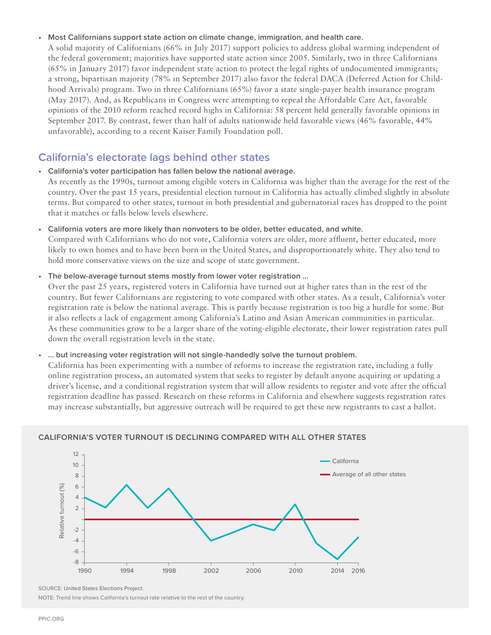#### **• Most Californians support state action on climate change, immigration, and health care.**

A solid majority of Californians (66% in July 2017) support policies to address global warming independent of the federal government; majorities have supported state action since 2005. Similarly, two in three Californians (65% in January 2017) favor independent state action to protect the legal rights of undocumented immigrants; a strong, bipartisan majority (78% in September 2017) also favor the federal DACA (Deferred Action for Childhood Arrivals) program. Two in three Californians (65%) favor a state single-payer health insurance program (May 2017). And, as Republicans in Congress were attempting to repeal the Affordable Care Act, favorable opinions of the 2010 reform reached record highs in California: 58 percent held generally favorable opinions in September 2017. By contrast, fewer than half of adults nationwide held favorable views (46% favorable, 44% unfavorable), according to a recent Kaiser Family Foundation poll.

## **California's electorate lags behind other states**

**• California's voter participation has fallen below the national average.** As recently as the 1990s, turnout among eligible voters in California was higher than the average for the rest of the country. Over the past 15 years, presidential election turnout in California has actually climbed slightly in absolute terms. But compared to other states, turnout in both presidential and gubernatorial races has dropped to the point

that it matches or falls below levels elsewhere.

**• California voters are more likely than nonvoters to be older, better educated, and white.** 

Compared with Californians who do not vote, California voters are older, more affluent, better educated, more likely to own homes and to have been born in the United States, and disproportionately white. They also tend to hold more conservative views on the size and scope of state government.

#### **• The below-average turnout stems mostly from lower voter registration …**

Over the past 25 years, registered voters in California have turned out at higher rates than in the rest of the country. But fewer Californians are registering to vote compared with other states. As a result, California's voter registration rate is below the national average. This is partly because registration is too big a hurdle for some. But it also reflects a lack of engagement among California's Latino and Asian American communities in particular. As these communities grow to be a larger share of the voting-eligible electorate, their lower registration rates pull down the overall registration levels in the state.

#### **• … but increasing voter registration will not single-handedly solve the turnout problem.**

California has been experimenting with a number of reforms to increase the registration rate, including a fully online registration process, an automated system that seeks to register by default anyone acquiring or updating a driver's license, and a conditional registration system that will allow residents to register and vote after the official registration deadline has passed. Research on these reforms in California and elsewhere suggests registration rates may increase substantially, but aggressive outreach will be required to get these new registrants to cast a ballot.



#### **CALIFORNIA'S VOTER TURNOUT IS DECLINING COMPARED WITH ALL OTHER STATES**

SOURCE: [United States Elections Project.](http://www.electproject.org/home/voter-turnout/voter-turnout-data)

NOTE: Trend line shows California's turnout rate relative to the rest of the country.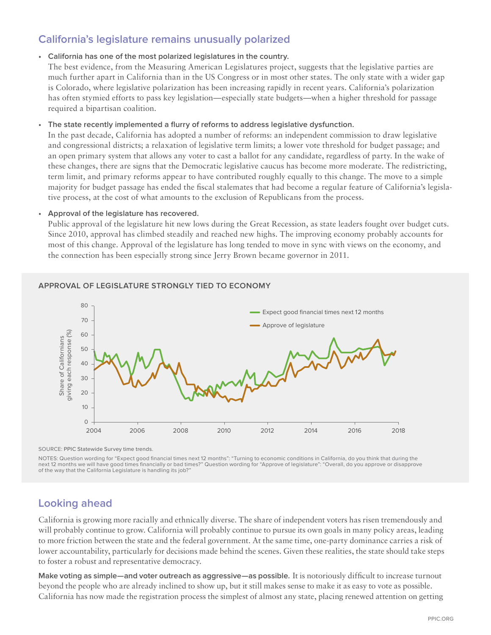# **California's legislature remains unusually polarized**

#### **• California has one of the most polarized legislatures in the country.**

The best evidence, from the Measuring American Legislatures project, suggests that the legislative parties are much further apart in California than in the US Congress or in most other states. The only state with a wider gap is Colorado, where legislative polarization has been increasing rapidly in recent years. California's polarization has often stymied efforts to pass key legislation—especially state budgets—when a higher threshold for passage required a bipartisan coalition.

#### **• The state recently implemented a flurry of reforms to address legislative dysfunction.**

In the past decade, California has adopted a number of reforms: an independent commission to draw legislative and congressional districts; a relaxation of legislative term limits; a lower vote threshold for budget passage; and an open primary system that allows any voter to cast a ballot for any candidate, regardless of party. In the wake of these changes, there are signs that the Democratic legislative caucus has become more moderate. The redistricting, term limit, and primary reforms appear to have contributed roughly equally to this change. The move to a simple majority for budget passage has ended the fiscal stalemates that had become a regular feature of California's legislative process, at the cost of what amounts to the exclusion of Republicans from the process.

#### **• Approval of the legislature has recovered.**

Public approval of the legislature hit new lows during the Great Recession, as state leaders fought over budget cuts. Since 2010, approval has climbed steadily and reached new highs. The improving economy probably accounts for most of this change. Approval of the legislature has long tended to move in sync with views on the economy, and the connection has been especially strong since Jerry Brown became governor in 2011.



### **APPROVAL OF LEGISLATURE STRONGLY TIED TO ECONOMY**

SOURCE: [PPIC Statewide Survey time trends.](http://www.ppic.org/main/publication.asp?i=1199)

NOTES: Question wording for "Expect good financial times next 12 months": "Turning to economic conditions in California, do you think that during the next 12 months we will have good times financially or bad times?" Question wording for "Approve of legislature": "Overall, do you approve or disapprove of the way that the California Legislature is handling its job?

# **Looking ahead**

California is growing more racially and ethnically diverse. The share of independent voters has risen tremendously and will probably continue to grow. California will probably continue to pursue its own goals in many policy areas, leading to more friction between the state and the federal government. At the same time, one-party dominance carries a risk of lower accountability, particularly for decisions made behind the scenes. Given these realities, the state should take steps to foster a robust and representative democracy.

**Make voting as simple—and voter outreach as aggressive—as possible.** It is notoriously difficult to increase turnout beyond the people who are already inclined to show up, but it still makes sense to make it as easy to vote as possible. California has now made the registration process the simplest of almost any state, placing renewed attention on getting